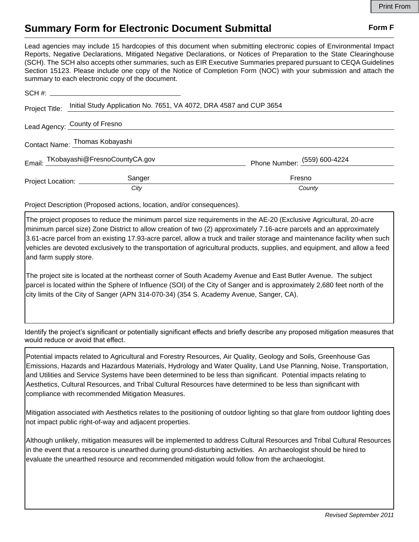## **Summary Form for Electronic Document Submittal Form F Form F**

Lead agencies may include 15 hardcopies of this document when submitting electronic copies of Environmental Impact Reports, Negative Declarations, Mitigated Negative Declarations, or Notices of Preparation to the State Clearinghouse (SCH). The SCH also accepts other summaries, such as EIR Executive Summaries prepared pursuant to CEQA Guidelines Section 15123. Please include one copy of the Notice of Completion Form (NOC) with your submission and attach the summary to each electronic copy of the document.

| Project Title:                 | Initial Study Application No. 7651, VA 4072, DRA 4587 and CUP 3654 |                              |
|--------------------------------|--------------------------------------------------------------------|------------------------------|
| Lead Agency: County of Fresno  |                                                                    |                              |
| Contact Name: Thomas Kobayashi |                                                                    |                              |
|                                | Email: TKobayashi@FresnoCountyCA.gov                               | Phone Number: (559) 600-4224 |
| Project Location: __________   | Sanger                                                             | Fresno                       |
|                                | City                                                               | County                       |

Project Description (Proposed actions, location, and/or consequences).

The project proposes to reduce the minimum parcel size requirements in the AE-20 (Exclusive Agricultural, 20-acre minimum parcel size) Zone District to allow creation of two (2) approximately 7.16-acre parcels and an approximately 3.61-acre parcel from an existing 17.93-acre parcel, allow a truck and trailer storage and maintenance facility when such vehicles are devoted exclusively to the transportation of agricultural products, supplies, and equipment, and allow a feed and farm supply store.

The project site is located at the northeast corner of South Academy Avenue and East Butler Avenue. The subject parcel is located within the Sphere of Influence (SOI) of the City of Sanger and is approximately 2,680 feet north of the city limits of the City of Sanger (APN 314-070-34) (354 S. Academy Avenue, Sanger, CA).

Identify the project's significant or potentially significant effects and briefly describe any proposed mitigation measures that would reduce or avoid that effect.

Potential impacts related to Agricultural and Forestry Resources, Air Quality, Geology and Soils, Greenhouse Gas Emissions, Hazards and Hazardous Materials, Hydrology and Water Quality, Land Use Planning, Noise, Transportation, and Utilities and Service Systems have been determined to be less than significant. Potential impacts relating to Aesthetics, Cultural Resources, and Tribal Cultural Resources have determined to be less than significant with compliance with recommended Mitigation Measures.

Mitigation associated with Aesthetics relates to the positioning of outdoor lighting so that glare from outdoor lighting does not impact public right-of-way and adjacent properties.

Although unlikely, mitigation measures will be implemented to address Cultural Resources and Tribal Cultural Resources in the event that a resource is unearthed during ground-disturbing activities. An archaeologist should be hired to evaluate the unearthed resource and recommended mitigation would follow from the archaeologist.